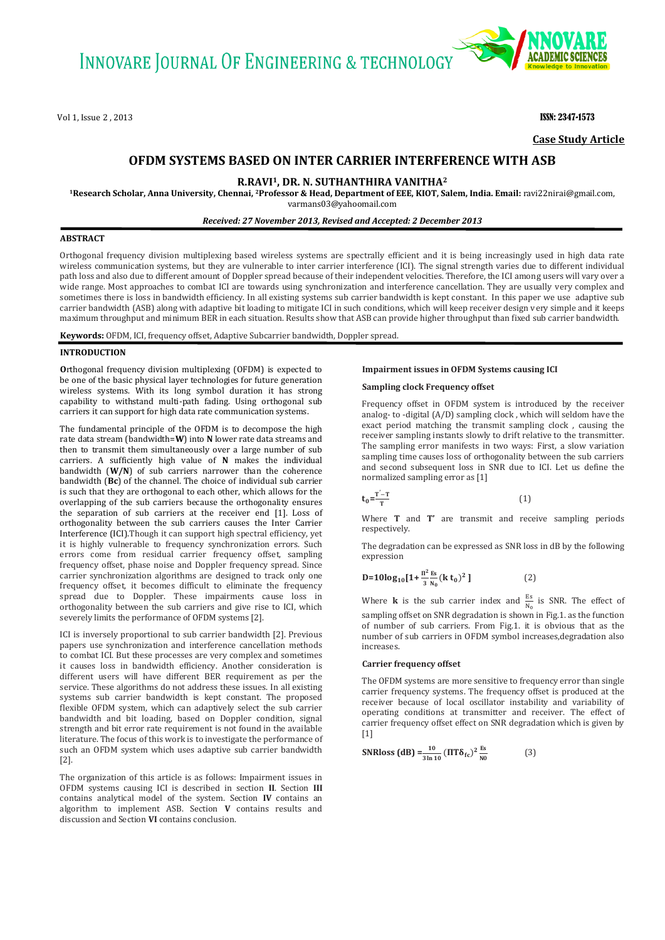Vol 1, Issue 2 , 2013 **ISSN: 2347-1573 ISSN: 2347-1573** 



**Case Study Article**

# **OFDM SYSTEMS BASED ON INTER CARRIER INTERFERENCE WITH ASB**

**R.RAVI1, DR. N. SUTHANTHIRA VANITHA<sup>2</sup>**

**<sup>1</sup>Research Scholar, Anna University, Chennai, 2Professor & Head, Department of EEE, KIOT, Salem, India. Email:** [ravi22nirai@gmail.com,](mailto:ravi22nirai@gmail.com)  [varmans03@yahoomail.com](mailto:varmans03@yahoomail.com)

*Received: 27 November 2013, Revised and Accepted: 2 December 2013*

# **ABSTRACT**

Orthogonal frequency division multiplexing based wireless systems are spectrally efficient and it is being increasingly used in high data rate wireless communication systems, but they are vulnerable to inter carrier interference (ICI). The signal strength varies due to different individual path loss and also due to different amount of Doppler spread because of their independent velocities. Therefore, the ICI among users will vary over a wide range. Most approaches to combat ICI are towards using synchronization and interference cancellation. They are usually very complex and sometimes there is loss in bandwidth efficiency. In all existing systems sub carrier bandwidth is kept constant. In this paper we use adaptive sub carrier bandwidth (ASB) along with adaptive bit loading to mitigate ICI in such conditions, which will keep receiver design very simple and it keeps maximum throughput and minimum BER in each situation. Results show that ASB can provide higher throughput than fixed sub carrier bandwidth.

**Keywords:** OFDM, ICI, frequency offset, Adaptive Subcarrier bandwidth, Doppler spread.

#### **INTRODUCTION**

**O**rthogonal frequency division multiplexing (OFDM) is expected to be one of the basic physical layer technologies for future generation wireless systems. With its long symbol duration it has strong capability to withstand multi-path fading. Using orthogonal sub carriers it can support for high data rate communication systems.

The fundamental principle of the OFDM is to decompose the high rate data stream (bandwidth=**W**) into **N** lower rate data streams and then to transmit them simultaneously over a large number of sub carriers. A sufficiently high value of **N** makes the individual bandwidth (**W/N**) of sub carriers narrower than the coherence bandwidth (**Bc**) of the channel. The choice of individual sub carrier is such that they are orthogonal to each other, which allows for the overlapping of the sub carriers because the orthogonality ensures the separation of sub carriers at the receiver end [1]. Loss of orthogonality between the sub carriers causes the Inter Carrier Interference (ICI).Though it can support high spectral efficiency, yet it is highly vulnerable to frequency synchronization errors. Such errors come from residual carrier frequency offset, sampling frequency offset, phase noise and Doppler frequency spread. Since carrier synchronization algorithms are designed to track only one frequency offset, it becomes difficult to eliminate the frequency spread due to Doppler. These impairments cause loss in orthogonality between the sub carriers and give rise to ICI, which severely limits the performance of OFDM systems [2].

ICI is inversely proportional to sub carrier bandwidth [2]. Previous papers use synchronization and interference cancellation methods to combat ICI. But these processes are very complex and sometimes it causes loss in bandwidth efficiency. Another consideration is different users will have different BER requirement as per the service. These algorithms do not address these issues. In all existing systems sub carrier bandwidth is kept constant. The proposed flexible OFDM system, which can adaptively select the sub carrier bandwidth and bit loading, based on Doppler condition, signal strength and bit error rate requirement is not found in the available literature. The focus of this work is to investigate the performance of such an OFDM system which uses adaptive sub carrier bandwidth [2].

The organization of this article is as follows: Impairment issues in OFDM systems causing ICI is described in section **II**. Section **III** contains analytical model of the system. Section **IV** contains an algorithm to implement ASB. Section **V** contains results and discussion and Section **VI** contains conclusion.

# **Impairment issues in OFDM Systems causing ICI**

# **Sampling clock Frequency offset**

Frequency offset in OFDM system is introduced by the receiver analog- to -digital (A/D) sampling clock , which will seldom have the exact period matching the transmit sampling clock , causing the receiver sampling instants slowly to drift relative to the transmitter. The sampling error manifests in two ways: First, a slow variation sampling time causes loss of orthogonality between the sub carriers and second subsequent loss in SNR due to ICI. Let us define the normalized sampling error as [1]

$$
t_0 = \frac{T'-T}{T} \tag{1}
$$

Where **T** and **T'** are transmit and receive sampling periods respectively.

The degradation can be expressed as SNR loss in dB by the following expression

$$
D=10\log_{10}[1+\frac{\pi^2}{3}\frac{Es}{N_0}(k\ t_0)^2]
$$
 (2)

Where **k** is the sub carrier index and  $\frac{ES}{N_0}$  is SNR. The effect of sampling offset on SNR degradation is shown in Fig.1. as the function of number of sub carriers. From Fig.1. it is obvious that as the number of sub carriers in OFDM symbol increases,degradation also increases.

# **Carrier frequency offset**

The OFDM systems are more sensitive to frequency error than single carrier frequency systems. The frequency offset is produced at the receiver because of local oscillator instability and variability of operating conditions at transmitter and receiver. The effect of carrier frequency offset effect on SNR degradation which is given by [1]

SNRloss (dB) = 
$$
\frac{10}{3 \ln 10} (\Pi T \delta_{fc})^2 \frac{Es}{N0}
$$
 (3)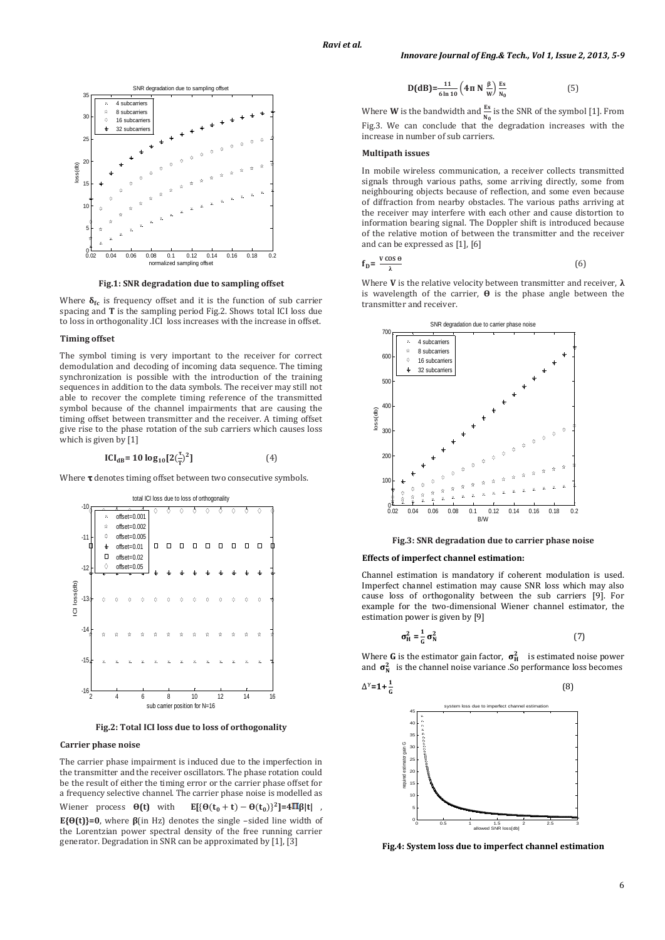

**Fig.1: SNR degradation due to sampling offset**

Where  $\delta_{\text{fc}}$  is frequency offset and it is the function of sub carrier spacing and **T** is the sampling period Fig.2. Shows total ICI loss due to loss in orthogonality .ICI loss increases with the increase in offset.

# **Timing offset**

The symbol timing is very important to the receiver for correct demodulation and decoding of incoming data sequence. The timing synchronization is possible with the introduction of the training sequences in addition to the data symbols. The receiver may still not able to recover the complete timing reference of the transmitted symbol because of the channel impairments that are causing the timing offset between transmitter and the receiver. A timing offset give rise to the phase rotation of the sub carriers which causes loss which is given by [1]

$$
ICI_{dB} = 10 \log_{10}[2(\frac{\tau}{T})^2]
$$
 (4)

Where  $\tau$  denotes timing offset between two consecutive symbols.



**Fig.2: Total ICI loss due to loss of orthogonality**

# **Carrier phase noise**

The carrier phase impairment is induced due to the imperfection in the transmitter and the receiver oscillators. The phase rotation could be the result of either the timing error or the carrier phase offset for a frequency selective channel. The carrier phase noise is modelled as Wiener process **θ(t)** with  $[3]$ <sup>2</sup>] = 4Πβ|t|, **E{** $\Theta(t)$ **}=0**, where  $\beta$ (in Hz) denotes the single -sided line width of the Lorentzian power spectral density of the free running carrier generator. Degradation in SNR can be approximated by [1], [3]

$$
D(dB) = \frac{11}{6 \ln 10} \left( 4\pi \, N \, \frac{\beta}{w} \right) \frac{Es}{N_0}
$$
 (5)

Where **W** is the bandwidth and  $\frac{15}{N_0}$  is the SNR of the symbol [1]. From Fig.3. We can conclude that the degradation increases with the increase in number of sub carriers.

#### **Multipath issues**

In mobile wireless communication, a receiver collects transmitted signals through various paths, some arriving directly, some from neighbouring objects because of reflection, and some even because of diffraction from nearby obstacles. The various paths arriving at the receiver may interfere with each other and cause distortion to information bearing signal. The Doppler shift is introduced because of the relative motion of between the transmitter and the receiver and can be expressed as [1], [6]

$$
f_{\rm p} = \frac{v \cos \theta}{\lambda} \tag{6}
$$

Where **V** is the relative velocity between transmitter and receiver, **λ** is wavelength of the carrier, **ϴ** is the phase angle between the transmitter and receiver.



**Fig.3: SNR degradation due to carrier phase noise**

#### **Effects of imperfect channel estimation:**

Channel estimation is mandatory if coherent modulation is used. Imperfect channel estimation may cause SNR loss which may also cause loss of orthogonality between the sub carriers [9]. For example for the two-dimensional Wiener channel estimator, the estimation power is given by [9]

$$
\sigma_H^2 = \frac{1}{6} \sigma_N^2 \tag{7}
$$

Where **G** is the estimator gain factor,  $\sigma_H^2$  is estimated noise power and  $\sigma_N^2$  is the channel noise variance .So performance loss becomes

$$
\Delta^{\gamma} = 1 + \frac{1}{6} \tag{8}
$$



**Fig.4: System loss due to imperfect channel estimation**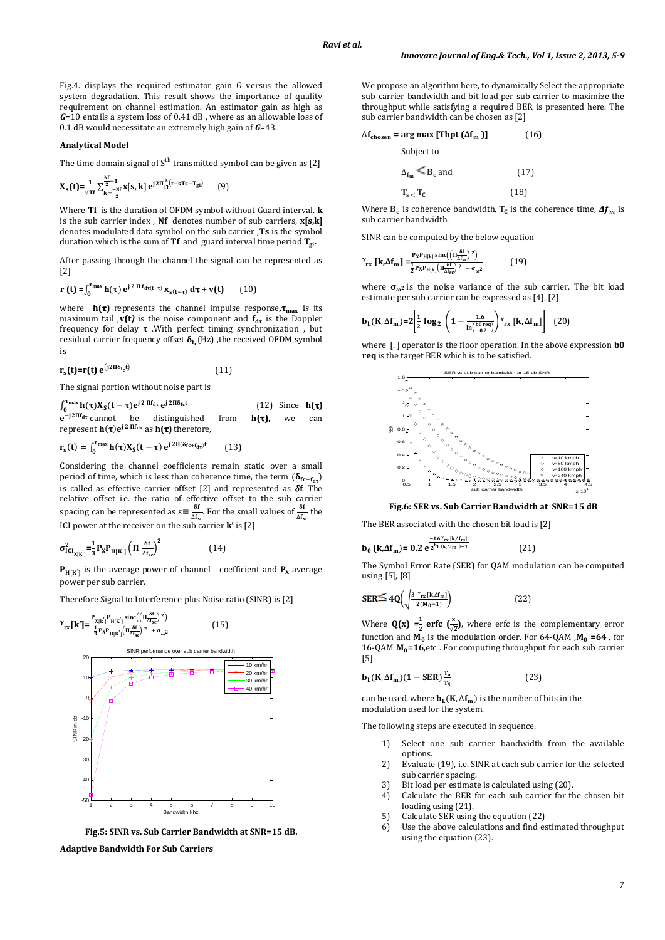Fig.4. displays the required estimator gain G versus the allowed system degradation. This result shows the importance of quality requirement on channel estimation. An estimator gain as high as *G*=10 entails a system loss of 0.41 dB , where as an allowable loss of 0.1 dB would necessitate an extremely high gain of *G*=43.

# **Analytical Model**

The time domain signal of  $S<sup>th</sup>$  transmitted symbol can be given as [2]

$$
X_{s}(t) = \frac{1}{\sqrt{T}t} \sum_{k=-\frac{Nt}{2}}^{\frac{Nt}{2}+1} x[s, k] e^{j2\Pi \frac{k}{T} (t-sTs-T_{gi})}
$$
(9)

Where **Tf** is the duration of OFDM symbol without Guard interval. **k** is the sub carrier index , **Nf** denotes number of sub carriers, **x[s,k]** denotes modulated data symbol on the sub carrier ,**Ts** is the symbol duration which is the sum of **Tf** and guard interval time period  $T_{gi}$ .

After passing through the channel the signal can be represented as [2]

$$
\mathbf{r}\left(\mathbf{t}\right) = \int_0^{\tau_{\text{max}}} \mathbf{h}(\tau) e^{j 2 \Pi f_{\text{d}\tau(t-\tau)}} \mathbf{x}_{s(t-\tau)} d\tau + \mathbf{v}(t) \qquad (10)
$$

where  $h(\tau)$  represents the channel impulse response,  $\tau_{\text{max}}$  is its maximum tail  $\mathbf{v}(t)$  is the noise component and  $\mathbf{f}_{d\tau}$  is the Doppler frequency for delay  $\tau$ . With perfect timing synchronization, but residual carrier frequency offset  $\delta_{f_c}(Hz)$ , the received OFDM symbol is

$$
\mathbf{r}_{\mathbf{s}}(\mathbf{t}) = \mathbf{r}(\mathbf{t}) \mathbf{e}^{(j2\Pi\delta_{\mathbf{f}\mathbf{c}}\mathbf{t})} \tag{11}
$$

The signal portion without nois**e** part is

 $\int_0^{\tau_{\text{max}}} h(\tau)X_s(t-\tau)e^{j2 \Pi f_{d\tau}} e^{j\tau}$  $(12)$  Since **h** $(t)$  $e^{-j2\pi f_{d\tau}}$  cannot be distinguished from  $h(\tau)$ , we can represent  $h(\tau)e^{j2 \Pi f_{d\tau}}$  as  $h(\tau)$  therefore,

$$
\mathbf{r}_{s}(t) = \int_{0}^{\tau_{\text{max}}} \mathbf{h}(\tau) \mathbf{X}_{s}(t-\tau) e^{j 2\Pi(\delta_{\text{fc}+\text{f}_{\text{dr}}})t} \qquad (13)
$$

Considering the channel coefficients remain static over a small period of time, which is less than coherence time, the term  $(\delta_{fc+f_{dr}})$ is called as effective carrier offset [2] and represented as **f**. The relative offset i.e. the ratio of effective offset to the sub carrier spacing can be represented as  $\epsilon = \frac{\delta}{\delta}$  $\frac{dS}{dA_{sc}}$ . For the small values of  $\frac{dS}{dA_{sc}}$  the ICI power at the receiver on the sub carrier **k'** is [2]

$$
\sigma_{\text{ICI}_{X[K]}}^2 = \frac{1}{3} P_X P_{H[K]} \left( \Pi \frac{\delta f}{\Delta f_{\text{sc}}} \right)^2 \tag{14}
$$

 $P_{H[K']}$  is the average power of channel coefficient and  $P_X$  average power per sub carrier.

Therefore Signal to Interference plus Noise ratio (SINR) is [2]

 **[k']=** [  [  (( ) ) [ ( ) (15) -40 -30 -20 -10 0 10 20 SINR in db SINR performance over sub carrier bandwidth 10 km/hr 20 km/hr 30 km/hr 40 km/hr

**Fig.5: SINR vs. Sub Carrier Bandwidth at SNR=15 dB.** Bandwidth khz

1 2 3 4 5 6 7 8 9 10

**Adaptive Bandwidth For Sub Carriers**

-50

We propose an algorithm here, to dynamically Select the appropriate sub carrier bandwidth and bit load per sub carrier to maximize the throughput while satisfying a required BER is presented here. The sub carrier bandwidth can be chosen as [2]

$$
\Delta \mathbf{f}_{\text{chosen}} = \arg \max \left[ \text{Thpt} \left( \Delta \mathbf{f}_{\text{m}} \right) \right] \tag{16}
$$

Subject to

$$
\Delta_{f_m} \leq B_c \text{ and } \tag{17}
$$

$$
\mathbf{T}_{\mathbf{s}} < \mathbf{T}_{\mathbf{C}} \tag{18}
$$

Where  $B_c$  is coherence bandwidth,  $T_c$  is the coherence time,  $\Delta f_m$  is sub carrier bandwidth.

SINR can be computed by the below equation

$$
Y_{\text{rx}} \left[ \mathbf{k}, \Delta \mathbf{f}_{\text{m}} \right] = \frac{\mathbf{P}_{\text{x}} \mathbf{P}_{\text{H}[k]} \operatorname{sinc} \left( \left( \pi \frac{\delta \mathbf{f}}{\Delta \mathbf{f}_{\text{sc}}} \right)^2 \right)}{\frac{1}{2} \mathbf{P}_{\text{x}} \mathbf{P}_{\text{H}[k]} \left( \pi \frac{\delta \mathbf{f}}{\Delta \mathbf{f}_{\text{sc}}} \right)^2 + \sigma_{\omega^2}}
$$
(19)

where  $\sigma_{\omega^2}$  is the noise variance of the sub carrier. The bit load estimate per sub carrier can be expressed as [4], [2]

$$
\mathbf{b}_{L}(K,\Delta\mathbf{f}_{m})=2\left|\frac{1}{2}\log_{2}\left(1-\frac{1.6}{\ln\left(\frac{b0\,\mathrm{req}}{0.2}\right)}\right)\mathbf{Y}_{rx}\left[k,\Delta\mathbf{f}_{m}\right]\right|
$$
 (20)

where  $\vert . \vert$  operator is the floor operation. In the above expression **b0 req** is the target BER which is to be satisfied.



**Fig.6: SER vs. Sub Carrier Bandwidth at SNR=15 dB**

The BER associated with the chosen bit load is [2]

$$
(k\Delta f_m) = 0.2 \ e^{\frac{-1.6 \gamma_{rx} [k\Delta f_m]}{2^{b_L} (k\Delta f_m) - 1}}
$$
 (21)

 $\mathbf{b}$ 

The Symbol Error Rate (SER) for QAM modulation can be computed using [5], [8]

$$
SER \leq 4Q\left(\sqrt{\frac{3 \, \frac{\gamma_{\text{rx}} \left[k,\Delta f_{\text{m}}\right]}{2\left(M_{0}-1\right)}}\right) \tag{22}
$$

Where  $Q(x) = \frac{1}{2}$  $\frac{1}{2}$  **erfc** ( $\frac{x}{\sqrt{2}}$ ), where erfc is the complementary error function and  $M_0$  is the modulation order. For 64-QAM  $,M_0 = 64$ , for 16-QAM  $M_0=16$ , etc. For computing throughput for each sub carrier [5]

$$
\mathbf{b}_{\mathsf{L}}(\mathbf{K}, \Delta \mathbf{f}_{\mathsf{m}})(1 - \mathsf{SER}) \frac{\mathbf{T}_{\mathsf{u}}}{\mathbf{T}_{\mathsf{S}}} \tag{23}
$$

can be used, where  $\mathbf{b}_L(\mathbf{K}, \Delta \mathbf{f}_m)$  is the number of bits in the modulation used for the system.

The following steps are executed in sequence.

- 1) Select one sub carrier bandwidth from the available options.
- 2) Evaluate (19), i.e. SINR at each sub carrier for the selected sub carrier spacing.
- 3) Bit load per estimate is calculated using (20).
- 4) Calculate the BER for each sub carrier for the chosen bit loading using (21).
- 5) Calculate SER using the equation (22)
- 6) Use the above calculations and find estimated throughput using the equation (23).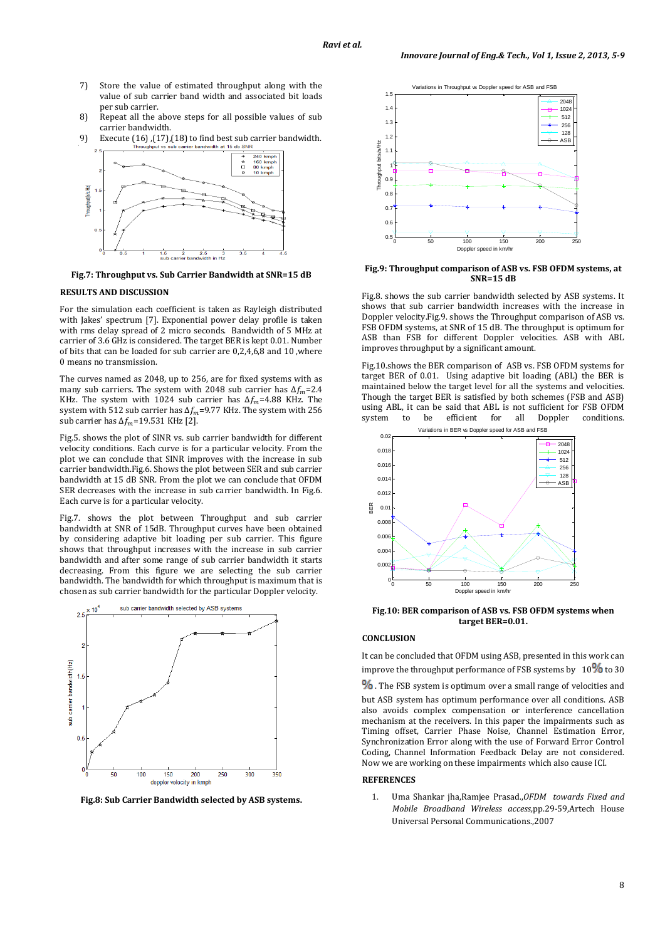- 7) Store the value of estimated throughput along with the value of sub carrier band width and associated bit loads per sub carrier.
- 8) Repeat all the above steps for all possible values of sub carrier bandwidth.
- 9) Execute (16) ,(17),(18) to find best sub carrier bandwidth.



**Fig.7: Throughput vs. Sub Carrier Bandwidth at SNR=15 dB**

# **RESULTS AND DISCUSSION**

For the simulation each coefficient is taken as Rayleigh distributed with Jakes' spectrum [7]. Exponential power delay profile is taken with rms delay spread of 2 micro seconds. Bandwidth of 5 MHz at carrier of 3.6 GHz is considered. The target BER is kept 0.01. Number of bits that can be loaded for sub carrier are 0,2,4,6,8 and 10 ,where 0 means no transmission.

The curves named as 2048, up to 256, are for fixed systems with as many sub carriers. The system with 2048 sub carrier has  $\Delta f_m$ =2.4 KHz. The system with 1024 sub carrier has  $\Delta f_m$ =4.88 KHz. The system with 512 sub carrier has  $\Delta f_m$ =9.77 KHz. The system with 256 sub carrier has  $\Delta f_m$ =19.531 KHz [2].

Fig.5. shows the plot of SINR vs. sub carrier bandwidth for different velocity conditions. Each curve is for a particular velocity. From the plot we can conclude that SINR improves with the increase in sub carrier bandwidth.Fig.6. Shows the plot between SER and sub carrier bandwidth at 15 dB SNR. From the plot we can conclude that OFDM SER decreases with the increase in sub carrier bandwidth. In Fig.6. Each curve is for a particular velocity.

Fig.7. shows the plot between Throughput and sub carrier bandwidth at SNR of 15dB. Throughput curves have been obtained by considering adaptive bit loading per sub carrier. This figure shows that throughput increases with the increase in sub carrier bandwidth and after some range of sub carrier bandwidth it starts decreasing. From this figure we are selecting the sub carrier bandwidth. The bandwidth for which throughput is maximum that is chosen as sub carrier bandwidth for the particular Doppler velocity.



**Fig.8: Sub Carrier Bandwidth selected by ASB systems.**



#### **Fig.9: Throughput comparison of ASB vs. FSB OFDM systems, at SNR=15 dB**

Fig.8. shows the sub carrier bandwidth selected by ASB systems. It shows that sub carrier bandwidth increases with the increase in Doppler velocity.Fig.9. shows the Throughput comparison of ASB vs. FSB OFDM systems, at SNR of 15 dB. The throughput is optimum for ASB than FSB for different Doppler velocities. ASB with ABL improves throughput by a significant amount.

Fig.10.shows the BER comparison of ASB vs. FSB OFDM systems for target BER of 0.01. Using adaptive bit loading (ABL) the BER is maintained below the target level for all the systems and velocities. Though the target BER is satisfied by both schemes (FSB and ASB) using ABL, it can be said that ABL is not sufficient for FSB OFDM system to be efficient for all Doppler conditions.



**Fig.10: BER comparison of ASB vs. FSB OFDM systems when target BER=0.01.**

## **CONCLUSION**

It can be concluded that OFDM using ASB, presented in this work can improve the throughput performance of FSB systems by  $10\%$  to 30

 $%$  . The FSB system is optimum over a small range of velocities and

but ASB system has optimum performance over all conditions. ASB also avoids complex compensation or interference cancellation mechanism at the receivers. In this paper the impairments such as Timing offset, Carrier Phase Noise, Channel Estimation Error, Synchronization Error along with the use of Forward Error Control Coding, Channel Information Feedback Delay are not considered. Now we are working on these impairments which also cause ICI.

#### **REFERENCES**

1. Uma Shankar jha,Ramjee Prasad.,*OFDM towards Fixed and Mobile Broadband Wireless access,*pp.29-59,Artech House Universal Personal Communications.,2007